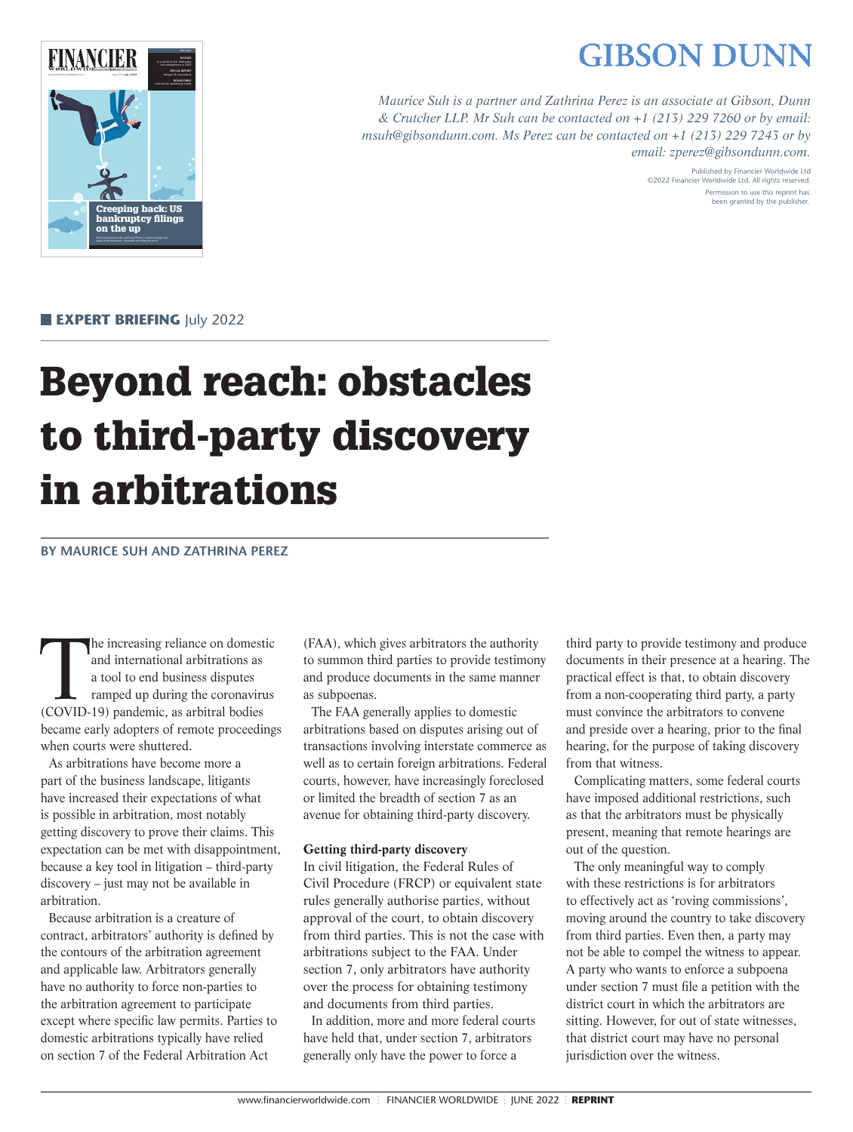# **GIBSON DUNN**



*Maurice Suh is a partner and Zathrina Perez is an associate at Gibson, Dunn & Crutcher LLP. Mr Suh can be contacted on +1 (213) 229 7260 or by email: msuh@gibsondunn.com. Ms Perez can be contacted on +1 (213) 229 7243 or by email: zperez@gibsondunn.com.*

> Published by Financier Worldwide Ltd ©2022 Financier Worldwide Ltd. All rights reserved. Permission to use this reprint has been granted by the publisher.

**EXPERT BRIEFING** July 2022

# Beyond reach: obstacles to third-party discovery in arbitrations

# **BY MAURICE SUH AND ZATHRINA PEREZ**

The increasing reliance on domestic<br>and international arbitrations as<br>a tool to end business disputes<br>ramped up during the coronavirus<br>(COVID-19) pandemic as arbitral bodies and international arbitrations as a tool to end business disputes ramped up during the coronavirus (COVID-19) pandemic, as arbitral bodies became early adopters of remote proceedings when courts were shuttered.

As arbitrations have become more a part of the business landscape, litigants have increased their expectations of what is possible in arbitration, most notably getting discovery to prove their claims. This expectation can be met with disappointment, because a key tool in litigation – third-party discovery – just may not be available in arbitration.

Because arbitration is a creature of contract, arbitrators' authority is defined by the contours of the arbitration agreement and applicable law. Arbitrators generally have no authority to force non-parties to the arbitration agreement to participate except where specific law permits. Parties to domestic arbitrations typically have relied on section 7 of the Federal Arbitration Act

(FAA), which gives arbitrators the authority to summon third parties to provide testimony and produce documents in the same manner as subpoenas.

The FAA generally applies to domestic arbitrations based on disputes arising out of transactions involving interstate commerce as well as to certain foreign arbitrations. Federal courts, however, have increasingly foreclosed or limited the breadth of section 7 as an avenue for obtaining third-party discovery.

# **Getting third-party discovery**

In civil litigation, the Federal Rules of Civil Procedure (FRCP) or equivalent state rules generally authorise parties, without approval of the court, to obtain discovery from third parties. This is not the case with arbitrations subject to the FAA. Under section 7, only arbitrators have authority over the process for obtaining testimony and documents from third parties.

In addition, more and more federal courts have held that, under section 7, arbitrators generally only have the power to force a

third party to provide testimony and produce documents in their presence at a hearing. The practical effect is that, to obtain discovery from a non-cooperating third party, a party must convince the arbitrators to convene and preside over a hearing, prior to the final hearing, for the purpose of taking discovery from that witness.

Complicating matters, some federal courts have imposed additional restrictions, such as that the arbitrators must be physically present, meaning that remote hearings are out of the question.

The only meaningful way to comply with these restrictions is for arbitrators to effectively act as 'roving commissions', moving around the country to take discovery from third parties. Even then, a party may not be able to compel the witness to appear. A party who wants to enforce a subpoena under section 7 must file a petition with the district court in which the arbitrators are sitting. However, for out of state witnesses, that district court may have no personal jurisdiction over the witness.